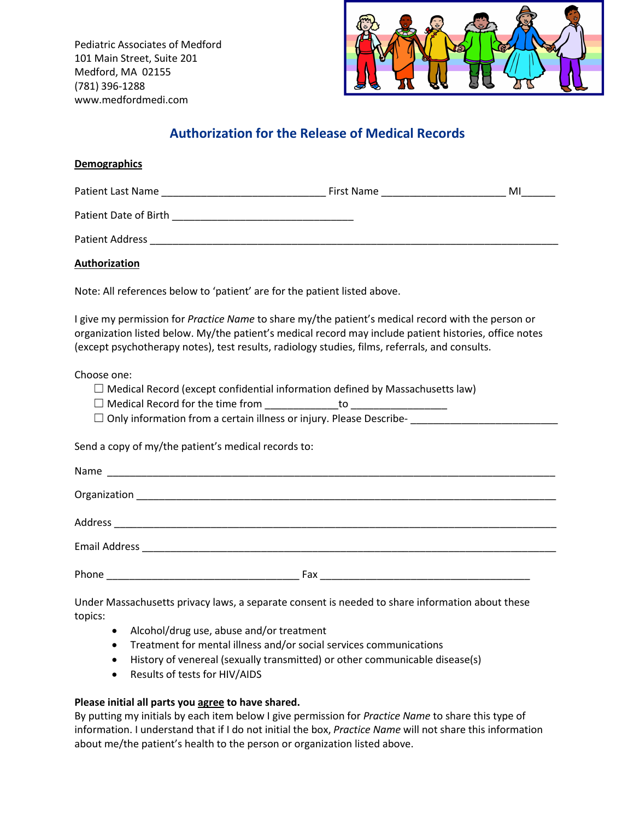Pediatric Associates of Medford 101 Main Street, Suite 201 Medford, MA 02155 (781) 396-1288 www.medfordmedi.com



# **Authorization for the Release of Medical Records**

## **Demographics**

| Patient<br>Name<br>Last i | $-1$ res<br><b>Name</b><br>‴li St. | MI |
|---------------------------|------------------------------------|----|
|                           | ______                             |    |

Patient Date of Birth \_\_\_\_\_\_\_\_\_\_\_\_\_\_\_\_\_\_\_\_\_\_\_\_\_\_\_\_\_\_\_\_

Patient Address \_\_\_\_\_\_\_\_\_\_\_\_\_\_\_\_\_\_\_\_\_\_\_\_\_\_\_\_\_\_\_\_\_\_\_\_\_\_\_\_\_\_\_\_\_\_\_\_\_\_\_\_\_\_\_\_\_\_\_\_\_\_\_\_\_\_\_\_\_\_\_\_

## **Authorization**

Note: All references below to 'patient' are for the patient listed above.

I give my permission for *Practice Name* to share my/the patient's medical record with the person or organization listed below. My/the patient's medical record may include patient histories, office notes (except psychotherapy notes), test results, radiology studies, films, referrals, and consults.

Choose one:

 $\Box$  Medical Record (except confidential information defined by Massachusetts law)

- $\Box$  Medical Record for the time from  $\Box$  to  $\Box$
- □ Only information from a certain illness or injury. Please Describe-<br>□

Send a copy of my/the patient's medical records to:

| Name                 |     |  |  |
|----------------------|-----|--|--|
|                      |     |  |  |
| <b>Address</b>       |     |  |  |
| <b>Email Address</b> |     |  |  |
| Phone                | Fax |  |  |

Under Massachusetts privacy laws, a separate consent is needed to share information about these topics:

- Alcohol/drug use, abuse and/or treatment
- Treatment for mental illness and/or social services communications
- History of venereal (sexually transmitted) or other communicable disease(s)
- Results of tests for HIV/AIDS

## **Please initial all parts you agree to have shared.**

By putting my initials by each item below Igive permission for *Practice Name* to share this type of information. I understand that if I do not initial the box, *Practice Name* will not share this information about me/the patient's health to the person or organization listed above.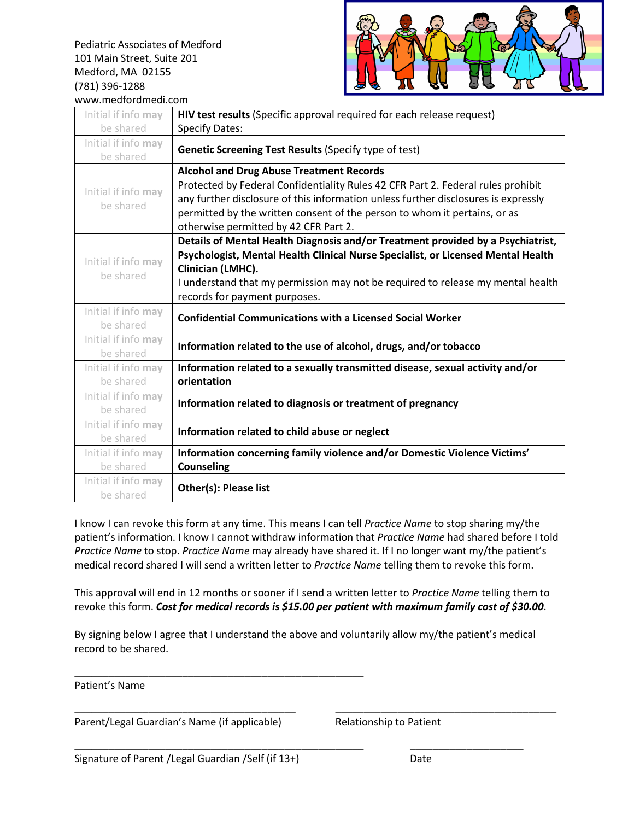Pediatric Associates of Medford 101 Main Street, Suite 201 Medford, MA 02155 (781) 396-1288



| www.medfordmedi.com |                                                                                    |  |
|---------------------|------------------------------------------------------------------------------------|--|
| Initial if info may | HIV test results (Specific approval required for each release request)             |  |
| be shared           | <b>Specify Dates:</b>                                                              |  |
| Initial if info may |                                                                                    |  |
| be shared           | <b>Genetic Screening Test Results (Specify type of test)</b>                       |  |
|                     | <b>Alcohol and Drug Abuse Treatment Records</b>                                    |  |
|                     | Protected by Federal Confidentiality Rules 42 CFR Part 2. Federal rules prohibit   |  |
| Initial if info may | any further disclosure of this information unless further disclosures is expressly |  |
| be shared           | permitted by the written consent of the person to whom it pertains, or as          |  |
|                     | otherwise permitted by 42 CFR Part 2.                                              |  |
|                     | Details of Mental Health Diagnosis and/or Treatment provided by a Psychiatrist,    |  |
| Initial if info may | Psychologist, Mental Health Clinical Nurse Specialist, or Licensed Mental Health   |  |
| be shared           | Clinician (LMHC).                                                                  |  |
|                     | I understand that my permission may not be required to release my mental health    |  |
|                     | records for payment purposes.                                                      |  |
| Initial if info may | <b>Confidential Communications with a Licensed Social Worker</b>                   |  |
| be shared           |                                                                                    |  |
| Initial if info may | Information related to the use of alcohol, drugs, and/or tobacco                   |  |
| be shared           |                                                                                    |  |
| Initial if info may | Information related to a sexually transmitted disease, sexual activity and/or      |  |
| be shared           | orientation                                                                        |  |
| Initial if info may | Information related to diagnosis or treatment of pregnancy                         |  |
| be shared           |                                                                                    |  |
| Initial if info may | Information related to child abuse or neglect                                      |  |
| be shared           |                                                                                    |  |
| Initial if info may | Information concerning family violence and/or Domestic Violence Victims'           |  |
| be shared           | <b>Counseling</b>                                                                  |  |
| Initial if info may | Other(s): Please list                                                              |  |
| be shared           |                                                                                    |  |

I know I can revoke this form at any time. This means I can tell *Practice Name* to stop sharing my/the patient's information. I know I cannot withdraw information that *Practice Name* had shared before I told *Practice Name* to stop. *Practice Name* may already have shared it. If I no longer want my/the patient's medical record shared I will send a written letter to *Practice Name* telling them to revoke this form.

This approval will end in 12 months or sooner if I send a written letter to *Practice Name* telling them to revoke this form. *Cost for medical records is \$15.00 per patient with maximum family cost of\$30.00*.

By signing below I agree that I understand the above and voluntarily allow my/the patient's medical record to be shared.

\_\_\_\_\_\_\_\_\_\_\_\_\_\_\_\_\_\_\_\_\_\_\_\_\_\_\_\_\_\_\_\_\_\_\_\_\_\_\_\_\_\_\_\_\_\_\_\_\_\_\_

Patient's Name

Parent/Legal Guardian's Name (if applicable) Relationship to Patient

\_\_\_\_\_\_\_\_\_\_\_\_\_\_\_\_\_\_\_\_\_\_\_\_\_\_\_\_\_\_\_\_\_\_\_\_\_\_\_ \_\_\_\_\_\_\_\_\_\_\_\_\_\_\_\_\_\_\_\_\_\_\_\_\_\_\_\_\_\_\_\_\_\_\_\_\_\_\_

\_\_\_\_\_\_\_\_\_\_\_\_\_\_\_\_\_\_\_\_\_\_\_\_\_\_\_\_\_\_\_\_\_\_\_\_\_\_\_\_\_\_\_\_\_\_\_\_\_\_\_ \_\_\_\_\_\_\_\_\_\_\_\_\_\_\_\_\_\_\_\_

Signature of Parent / Legal Guardian / Self (if 13+) Date